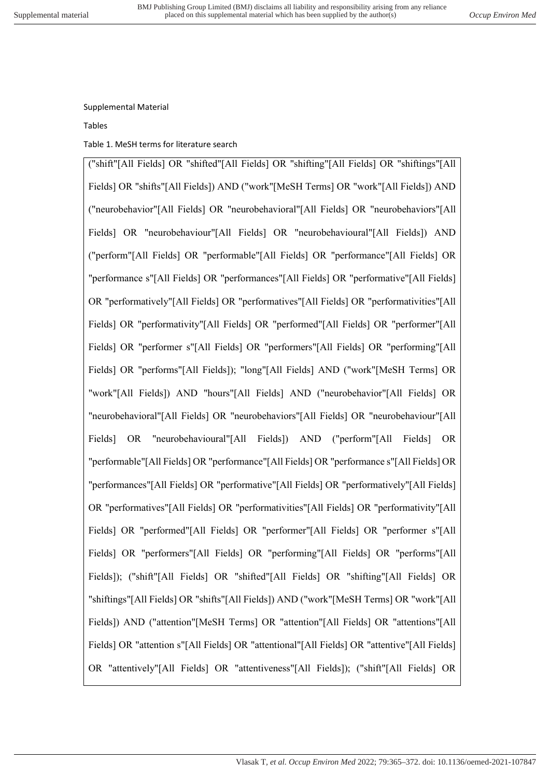## Supplemental Material

## Tables

Table 1. MeSH terms for literature search

("shift"[All Fields] OR "shifted"[All Fields] OR "shifting"[All Fields] OR "shiftings"[All Fields] OR "shifts"[All Fields]) AND ("work"[MeSH Terms] OR "work"[All Fields]) AND ("neurobehavior"[All Fields] OR "neurobehavioral"[All Fields] OR "neurobehaviors"[All Fields] OR "neurobehaviour"[All Fields] OR "neurobehavioural"[All Fields]) AND ("perform"[All Fields] OR "performable"[All Fields] OR "performance"[All Fields] OR "performance s"[All Fields] OR "performances"[All Fields] OR "performative"[All Fields] OR "performatively"[All Fields] OR "performatives"[All Fields] OR "performativities"[All Fields] OR "performativity"[All Fields] OR "performed"[All Fields] OR "performer"[All Fields] OR "performer s"[All Fields] OR "performers"[All Fields] OR "performing"[All Fields] OR "performs"[All Fields]); "long"[All Fields] AND ("work"[MeSH Terms] OR "work"[All Fields]) AND "hours"[All Fields] AND ("neurobehavior"[All Fields] OR "neurobehavioral"[All Fields] OR "neurobehaviors"[All Fields] OR "neurobehaviour"[All Fields] OR "neurobehavioural"[All Fields]) AND ("perform"[All Fields] OR "performable"[All Fields] OR "performance"[All Fields] OR "performance s"[All Fields] OR "performances"[All Fields] OR "performative"[All Fields] OR "performatively"[All Fields] OR "performatives"[All Fields] OR "performativities"[All Fields] OR "performativity"[All Fields] OR "performed"[All Fields] OR "performer"[All Fields] OR "performer s"[All Fields] OR "performers"[All Fields] OR "performing"[All Fields] OR "performs"[All Fields]); ("shift"[All Fields] OR "shifted"[All Fields] OR "shifting"[All Fields] OR "shiftings"[All Fields] OR "shifts"[All Fields]) AND ("work"[MeSH Terms] OR "work"[All Fields]) AND ("attention"[MeSH Terms] OR "attention"[All Fields] OR "attentions"[All Fields] OR "attention s"[All Fields] OR "attentional"[All Fields] OR "attentive"[All Fields] OR "attentively"[All Fields] OR "attentiveness"[All Fields]); ("shift"[All Fields] OR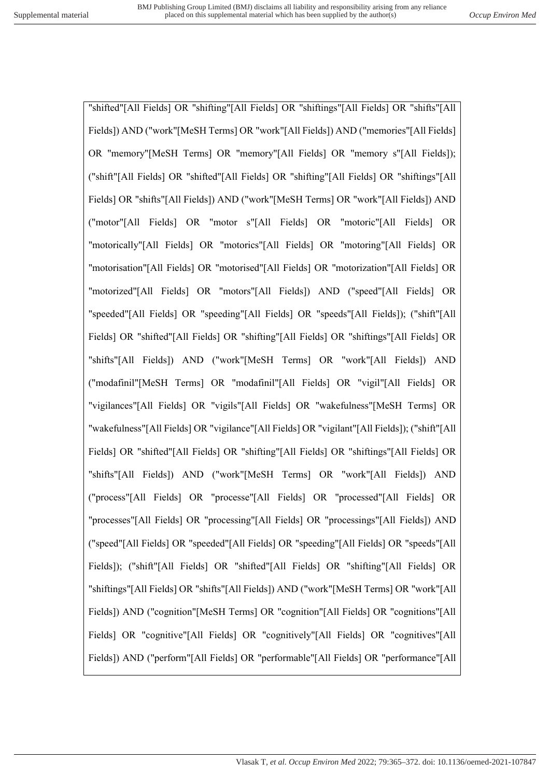"shifted"[All Fields] OR "shifting"[All Fields] OR "shiftings"[All Fields] OR "shifts"[All Fields]) AND ("work"[MeSH Terms] OR "work"[All Fields]) AND ("memories"[All Fields] OR "memory"[MeSH Terms] OR "memory"[All Fields] OR "memory s"[All Fields]); ("shift"[All Fields] OR "shifted"[All Fields] OR "shifting"[All Fields] OR "shiftings"[All Fields] OR "shifts"[All Fields]) AND ("work"[MeSH Terms] OR "work"[All Fields]) AND ("motor"[All Fields] OR "motor s"[All Fields] OR "motoric"[All Fields] OR "motorically"[All Fields] OR "motorics"[All Fields] OR "motoring"[All Fields] OR "motorisation"[All Fields] OR "motorised"[All Fields] OR "motorization"[All Fields] OR "motorized"[All Fields] OR "motors"[All Fields]) AND ("speed"[All Fields] OR "speeded"[All Fields] OR "speeding"[All Fields] OR "speeds"[All Fields]); ("shift"[All Fields] OR "shifted"[All Fields] OR "shifting"[All Fields] OR "shiftings"[All Fields] OR "shifts"[All Fields]) AND ("work"[MeSH Terms] OR "work"[All Fields]) AND ("modafinil"[MeSH Terms] OR "modafinil"[All Fields] OR "vigil"[All Fields] OR "vigilances"[All Fields] OR "vigils"[All Fields] OR "wakefulness"[MeSH Terms] OR "wakefulness"[All Fields] OR "vigilance"[All Fields] OR "vigilant"[All Fields]); ("shift"[All Fields] OR "shifted"[All Fields] OR "shifting"[All Fields] OR "shiftings"[All Fields] OR "shifts"[All Fields]) AND ("work"[MeSH Terms] OR "work"[All Fields]) AND ("process"[All Fields] OR "processe"[All Fields] OR "processed"[All Fields] OR "processes"[All Fields] OR "processing"[All Fields] OR "processings"[All Fields]) AND ("speed"[All Fields] OR "speeded"[All Fields] OR "speeding"[All Fields] OR "speeds"[All Fields]); ("shift"[All Fields] OR "shifted"[All Fields] OR "shifting"[All Fields] OR "shiftings"[All Fields] OR "shifts"[All Fields]) AND ("work"[MeSH Terms] OR "work"[All Fields]) AND ("cognition"[MeSH Terms] OR "cognition"[All Fields] OR "cognitions"[All Fields] OR "cognitive"[All Fields] OR "cognitively"[All Fields] OR "cognitives"[All Fields]) AND ("perform"[All Fields] OR "performable"[All Fields] OR "performance"[All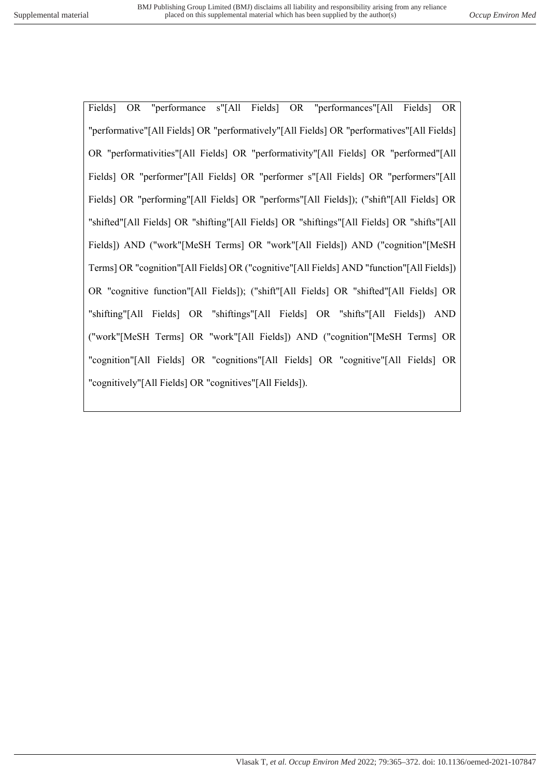Fields] OR "performance s"[All Fields] OR "performances"[All Fields] OR "performative"[All Fields] OR "performatively"[All Fields] OR "performatives"[All Fields] OR "performativities"[All Fields] OR "performativity"[All Fields] OR "performed"[All Fields] OR "performer"[All Fields] OR "performer s"[All Fields] OR "performers"[All Fields] OR "performing"[All Fields] OR "performs"[All Fields]); ("shift"[All Fields] OR "shifted"[All Fields] OR "shifting"[All Fields] OR "shiftings"[All Fields] OR "shifts"[All Fields]) AND ("work"[MeSH Terms] OR "work"[All Fields]) AND ("cognition"[MeSH Terms] OR "cognition"[All Fields] OR ("cognitive"[All Fields] AND "function"[All Fields]) OR "cognitive function"[All Fields]); ("shift"[All Fields] OR "shifted"[All Fields] OR "shifting"[All Fields] OR "shiftings"[All Fields] OR "shifts"[All Fields]) AND ("work"[MeSH Terms] OR "work"[All Fields]) AND ("cognition"[MeSH Terms] OR "cognition"[All Fields] OR "cognitions"[All Fields] OR "cognitive"[All Fields] OR "cognitively"[All Fields] OR "cognitives"[All Fields]).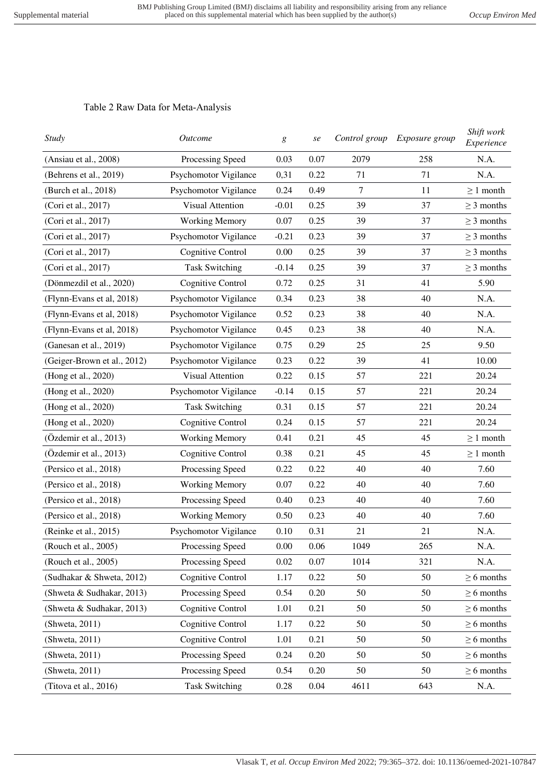## Table 2 Raw Data for Meta-Analysis

| <b>Study</b>                | <b>Outcome</b>           | Control group<br>g<br>se |      | Exposure group | Shift work<br>Experience |                 |
|-----------------------------|--------------------------|--------------------------|------|----------------|--------------------------|-----------------|
| (Ansiau et al., 2008)       | Processing Speed         | 0.03                     | 0.07 | 2079           | 258                      |                 |
| (Behrens et al., 2019)      | Psychomotor Vigilance    | 0,31                     | 0.22 | 71             | 71                       | N.A.            |
| (Burch et al., 2018)        | Psychomotor Vigilance    | 0.24                     | 0.49 | 7              | 11                       | $\geq 1$ month  |
| (Cori et al., 2017)         | <b>Visual Attention</b>  | $-0.01$                  | 0.25 | 39             | 37                       | $\geq$ 3 months |
| (Cori et al., 2017)         | <b>Working Memory</b>    | 0.07                     | 0.25 | 39             | 37                       | $\geq$ 3 months |
| (Cori et al., 2017)         | Psychomotor Vigilance    | $-0.21$                  | 0.23 | 39             | 37                       | $\geq$ 3 months |
| (Cori et al., 2017)         | Cognitive Control        | 0.00                     | 0.25 | 39             | 37                       | $\geq$ 3 months |
| (Cori et al., 2017)         | <b>Task Switching</b>    | $-0.14$                  | 0.25 | 39             | 37                       | $\geq$ 3 months |
| (Dönmezdil et al., 2020)    | Cognitive Control        | 0.72                     | 0.25 | 31             | 41                       | 5.90            |
| (Flynn-Evans et al, 2018)   | Psychomotor Vigilance    | 0.34                     | 0.23 | 38             | 40                       | N.A.            |
| (Flynn-Evans et al, 2018)   | Psychomotor Vigilance    | 0.52                     | 0.23 | 38             | 40                       | N.A.            |
| (Flynn-Evans et al, 2018)   | Psychomotor Vigilance    | 0.45                     | 0.23 | 38             | 40                       | N.A.            |
| (Ganesan et al., 2019)      | Psychomotor Vigilance    | 0.75                     | 0.29 | 25             | 25                       | 9.50            |
| (Geiger-Brown et al., 2012) | Psychomotor Vigilance    | 0.23                     | 0.22 | 39             | 41                       | 10.00           |
| (Hong et al., 2020)         | <b>Visual Attention</b>  | 0.22                     | 0.15 | 57             | 221                      | 20.24           |
| (Hong et al., 2020)         | Psychomotor Vigilance    | $-0.14$                  | 0.15 | 57             | 221                      | 20.24           |
| (Hong et al., 2020)         | <b>Task Switching</b>    | 0.31                     | 0.15 | 57             | 221                      | 20.24           |
| (Hong et al., 2020)         | Cognitive Control        | 0.24                     | 0.15 | 57             | 221                      | 20.24           |
| (Özdemir et al., 2013)      | <b>Working Memory</b>    | 0.41                     | 0.21 | 45             | 45                       | $\geq 1$ month  |
| (Özdemir et al., 2013)      | <b>Cognitive Control</b> | 0.38                     | 0.21 | 45             | 45                       | $\geq 1$ month  |
| (Persico et al., 2018)      | Processing Speed         | 0.22                     | 0.22 | 40             | 40                       | 7.60            |
| (Persico et al., 2018)      | <b>Working Memory</b>    | 0.07                     | 0.22 | 40             | 40                       | 7.60            |
| (Persico et al., 2018)      | Processing Speed         | 0.40                     | 0.23 | 40             | 40                       | 7.60            |
| (Persico et al., 2018)      | <b>Working Memory</b>    | 0.50                     | 0.23 | 40             | 40                       | 7.60            |
| (Reinke et al., 2015)       | Psychomotor Vigilance    | 0.10                     | 0.31 | 21             | 21                       | N.A.            |
| (Rouch et al., 2005)        | Processing Speed         | 0.00                     | 0.06 | 1049           | 265                      | N.A.            |
| (Rouch et al., 2005)        | Processing Speed         | 0.02                     | 0.07 | 1014           | 321                      | N.A.            |
| (Sudhakar & Shweta, 2012)   | Cognitive Control        | 1.17                     | 0.22 | 50             | 50                       | $\geq 6$ months |
| (Shweta & Sudhakar, 2013)   | Processing Speed         | 0.54                     | 0.20 | 50             | 50                       | $\geq 6$ months |
| (Shweta & Sudhakar, 2013)   | Cognitive Control        | 1.01                     | 0.21 | 50             | 50                       | $\geq 6$ months |
| (Shweta, 2011)              | Cognitive Control        | 1.17                     | 0.22 | 50             | 50                       | $\geq 6$ months |
| (Shweta, 2011)              | Cognitive Control        | 1.01                     | 0.21 | 50             | 50                       | $\geq 6$ months |
| (Shweta, 2011)              | Processing Speed         | 0.24                     | 0.20 | 50             | 50                       | $\geq 6$ months |
| (Shweta, 2011)              | Processing Speed         | 0.54                     | 0.20 | 50             | 50                       | $\geq 6$ months |
| (Titova et al., 2016)       | <b>Task Switching</b>    | 0.28                     | 0.04 | 4611           | 643                      | N.A.            |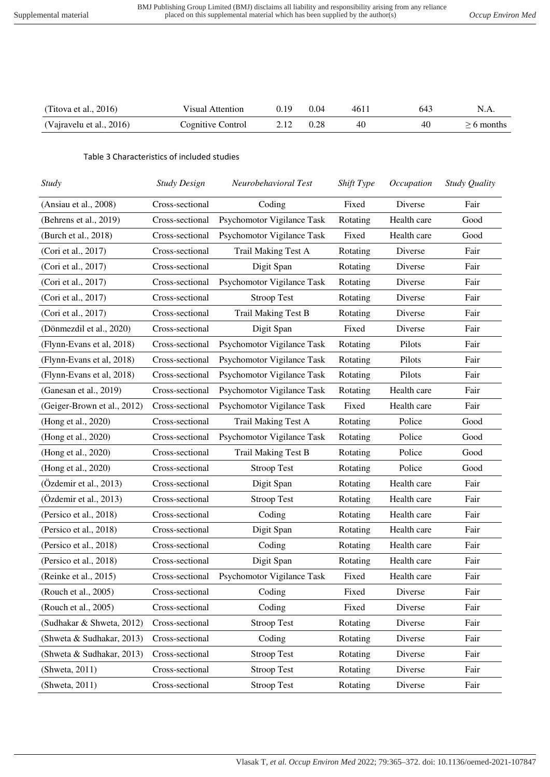| (Titova et al., $2016$ ) | Visual Attention  | 0.19 | 0.04 | 4611 | 643 |             |
|--------------------------|-------------------|------|------|------|-----|-------------|
| (Vajravelu et al., 2016) | Cognitive Control |      | 0.28 | 40   | 40  | $>6$ months |

## Table 3 Characteristics of included studies

| <b>Study</b>                | <b>Study Design</b> | Neurobehavioral Test       | Shift Type | Occupation  | Study Quality |
|-----------------------------|---------------------|----------------------------|------------|-------------|---------------|
| (Ansiau et al., 2008)       | Cross-sectional     | Coding                     | Fixed      | Diverse     | Fair          |
| (Behrens et al., 2019)      | Cross-sectional     | Psychomotor Vigilance Task | Rotating   | Health care | Good          |
| (Burch et al., 2018)        | Cross-sectional     | Psychomotor Vigilance Task | Fixed      | Health care | Good          |
| (Cori et al., 2017)         | Cross-sectional     | Trail Making Test A        | Rotating   | Diverse     | Fair          |
| (Cori et al., 2017)         | Cross-sectional     | Digit Span                 | Rotating   | Diverse     | Fair          |
| (Cori et al., 2017)         | Cross-sectional     | Psychomotor Vigilance Task | Rotating   | Diverse     | Fair          |
| (Cori et al., 2017)         | Cross-sectional     | <b>Stroop Test</b>         | Rotating   | Diverse     | Fair          |
| (Cori et al., 2017)         | Cross-sectional     | <b>Trail Making Test B</b> | Rotating   | Diverse     | Fair          |
| (Dönmezdil et al., 2020)    | Cross-sectional     | Digit Span                 | Fixed      | Diverse     | Fair          |
| (Flynn-Evans et al, 2018)   | Cross-sectional     | Psychomotor Vigilance Task | Rotating   | Pilots      | Fair          |
| (Flynn-Evans et al, 2018)   | Cross-sectional     | Psychomotor Vigilance Task | Rotating   | Pilots      | Fair          |
| (Flynn-Evans et al, 2018)   | Cross-sectional     | Psychomotor Vigilance Task | Rotating   | Pilots      | Fair          |
| (Ganesan et al., 2019)      | Cross-sectional     | Psychomotor Vigilance Task | Rotating   | Health care | Fair          |
| (Geiger-Brown et al., 2012) | Cross-sectional     | Psychomotor Vigilance Task | Fixed      | Health care | Fair          |
| (Hong et al., 2020)         | Cross-sectional     | Trail Making Test A        | Rotating   | Police      | Good          |
| (Hong et al., 2020)         | Cross-sectional     | Psychomotor Vigilance Task | Rotating   | Police      | Good          |
| (Hong et al., 2020)         | Cross-sectional     | <b>Trail Making Test B</b> | Rotating   | Police      | Good          |
| (Hong et al., 2020)         | Cross-sectional     | <b>Stroop Test</b>         | Rotating   | Police      | Good          |
| (Özdemir et al., 2013)      | Cross-sectional     | Digit Span                 | Rotating   | Health care | Fair          |
| (Özdemir et al., 2013)      | Cross-sectional     | <b>Stroop Test</b>         | Rotating   | Health care | Fair          |
| (Persico et al., 2018)      | Cross-sectional     | Coding                     | Rotating   | Health care | Fair          |
| (Persico et al., 2018)      | Cross-sectional     | Digit Span                 | Rotating   | Health care | Fair          |
| (Persico et al., 2018)      | Cross-sectional     | Coding                     | Rotating   | Health care | Fair          |
| (Persico et al., 2018)      | Cross-sectional     | Digit Span                 | Rotating   | Health care | Fair          |
| (Reinke et al., 2015)       | Cross-sectional     | Psychomotor Vigilance Task | Fixed      | Health care | Fair          |
| (Rouch et al., 2005)        | Cross-sectional     | Coding                     | Fixed      | Diverse     | Fair          |
| (Rouch et al., 2005)        | Cross-sectional     | Coding                     | Fixed      | Diverse     | Fair          |
| (Sudhakar & Shweta, 2012)   | Cross-sectional     | <b>Stroop Test</b>         | Rotating   | Diverse     | Fair          |
| (Shweta & Sudhakar, 2013)   | Cross-sectional     | Coding                     | Rotating   | Diverse     | Fair          |
| (Shweta & Sudhakar, 2013)   | Cross-sectional     | <b>Stroop Test</b>         | Rotating   | Diverse     | Fair          |
| (Shweta, 2011)              | Cross-sectional     | <b>Stroop Test</b>         | Rotating   | Diverse     | Fair          |
| (Shweta, 2011)              | Cross-sectional     | <b>Stroop Test</b>         | Rotating   | Diverse     | Fair          |